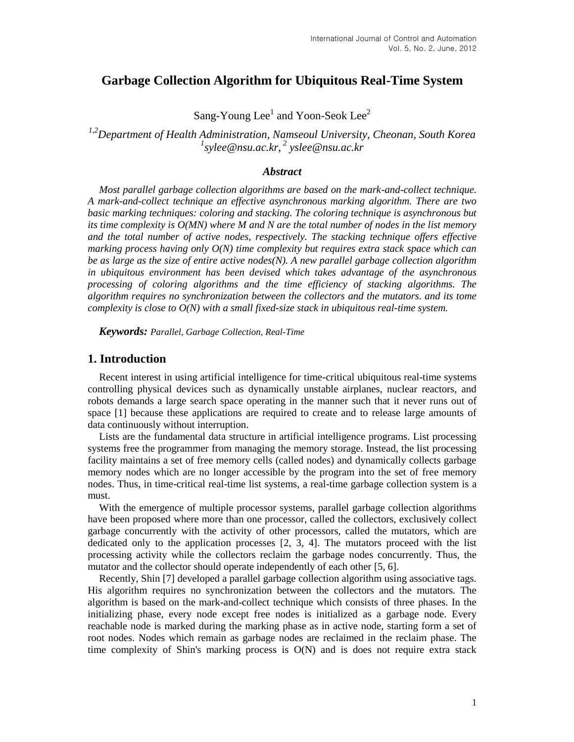# **Garbage Collection Algorithm for Ubiquitous Real-Time System**

Sang-Young Lee $^1$  and Yoon-Seok Lee $^2$ 

*1,2Department of Health Administration, Namseoul University, Cheonan, South Korea 1 [sylee@nsu.ac.kr,](mailto:sylee@nsu.ac.kr) 2 yslee@nsu.ac.kr*

# *Abstract*

*Most parallel garbage collection algorithms are based on the mark-and-collect technique. A mark-and-collect technique an effective asynchronous marking algorithm. There are two basic marking techniques: coloring and stacking. The coloring technique is asynchronous but its time complexity is O(MN) where M and N are the total number of nodes in the list memory and the total number of active nodes, respectively. The stacking technique offers effective marking process having only O(N) time complexity but requires extra stack space which can be as large as the size of entire active nodes(N). A new parallel garbage collection algorithm in ubiquitous environment has been devised which takes advantage of the asynchronous processing of coloring algorithms and the time efficiency of stacking algorithms. The algorithm requires no synchronization between the collectors and the mutators. and its tome complexity is close to O(N) with a small fixed-size stack in ubiquitous real-time system.* 

*Keywords: Parallel, Garbage Collection, Real-Time*

#### **1. Introduction**

Recent interest in using artificial intelligence for time-critical ubiquitous real-time systems controlling physical devices such as dynamically unstable airplanes, nuclear reactors, and robots demands a large search space operating in the manner such that it never runs out of space [1] because these applications are required to create and to release large amounts of data continuously without interruption.

Lists are the fundamental data structure in artificial intelligence programs. List processing systems free the programmer from managing the memory storage. Instead, the list processing facility maintains a set of free memory cells (called nodes) and dynamically collects garbage memory nodes which are no longer accessible by the program into the set of free memory nodes. Thus, in time-critical real-time list systems, a real-time garbage collection system is a must.

With the emergence of multiple processor systems, parallel garbage collection algorithms have been proposed where more than one processor, called the collectors, exclusively collect garbage concurrently with the activity of other processors, called the mutators, which are dedicated only to the application processes [2, 3, 4]. The mutators proceed with the list processing activity while the collectors reclaim the garbage nodes concurrently. Thus, the mutator and the collector should operate independently of each other [5, 6].

Recently, Shin [7] developed a parallel garbage collection algorithm using associative tags. His algorithm requires no synchronization between the collectors and the mutators. The algorithm is based on the mark-and-collect technique which consists of three phases. In the initializing phase, every node except free nodes is initialized as a garbage node. Every reachable node is marked during the marking phase as in active node, starting form a set of root nodes. Nodes which remain as garbage nodes are reclaimed in the reclaim phase. The time complexity of Shin's marking process is  $O(N)$  and is does not require extra stack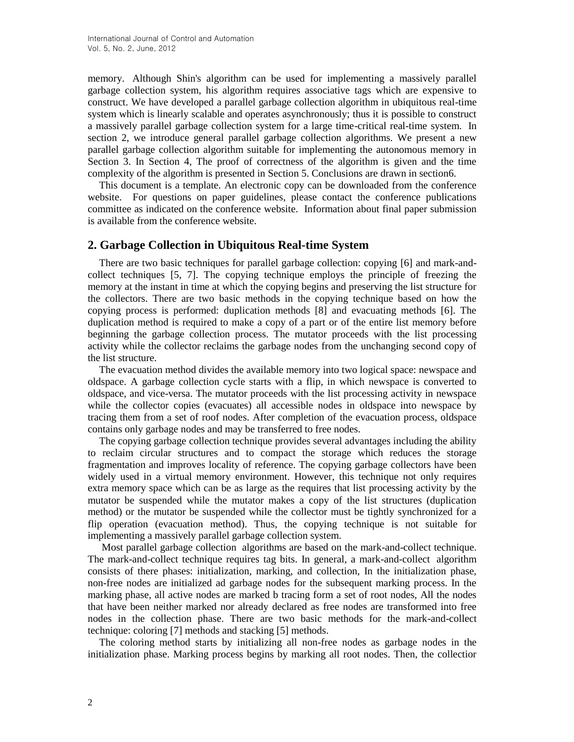memory. Although Shin's algorithm can be used for implementing a massively parallel garbage collection system, his algorithm requires associative tags which are expensive to construct. We have developed a parallel garbage collection algorithm in ubiquitous real-time system which is linearly scalable and operates asynchronously; thus it is possible to construct a massively parallel garbage collection system for a large time-critical real-time system. In section 2, we introduce general parallel garbage collection algorithms. We present a new parallel garbage collection algorithm suitable for implementing the autonomous memory in Section 3. In Section 4, The proof of correctness of the algorithm is given and the time complexity of the algorithm is presented in Section 5. Conclusions are drawn in section6.

This document is a template. An electronic copy can be downloaded from the conference website. For questions on paper guidelines, please contact the conference publications committee as indicated on the conference website. Information about final paper submission is available from the conference website.

# **2. Garbage Collection in Ubiquitous Real-time System**

There are two basic techniques for parallel garbage collection: copying [6] and mark-andcollect techniques [5, 7]. The copying technique employs the principle of freezing the memory at the instant in time at which the copying begins and preserving the list structure for the collectors. There are two basic methods in the copying technique based on how the copying process is performed: duplication methods [8] and evacuating methods [6]. The duplication method is required to make a copy of a part or of the entire list memory before beginning the garbage collection process. The mutator proceeds with the list processing activity while the collector reclaims the garbage nodes from the unchanging second copy of the list structure.

The evacuation method divides the available memory into two logical space: newspace and oldspace. A garbage collection cycle starts with a flip, in which newspace is converted to oldspace, and vice-versa. The mutator proceeds with the list processing activity in newspace while the collector copies (evacuates) all accessible nodes in oldspace into newspace by tracing them from a set of roof nodes. After completion of the evacuation process, oldspace contains only garbage nodes and may be transferred to free nodes.

The copying garbage collection technique provides several advantages including the ability to reclaim circular structures and to compact the storage which reduces the storage fragmentation and improves locality of reference. The copying garbage collectors have been widely used in a virtual memory environment. However, this technique not only requires extra memory space which can be as large as the requires that list processing activity by the mutator be suspended while the mutator makes a copy of the list structures (duplication method) or the mutator be suspended while the collector must be tightly synchronized for a flip operation (evacuation method). Thus, the copying technique is not suitable for implementing a massively parallel garbage collection system.

Most parallel garbage collection algorithms are based on the mark-and-collect technique. The mark-and-collect technique requires tag bits. In general, a mark-and-collect algorithm consists of there phases: initialization, marking, and collection, In the initialization phase, non-free nodes are initialized ad garbage nodes for the subsequent marking process. In the marking phase, all active nodes are marked b tracing form a set of root nodes, All the nodes that have been neither marked nor already declared as free nodes are transformed into free nodes in the collection phase. There are two basic methods for the mark-and-collect technique: coloring [7] methods and stacking [5] methods.

The coloring method starts by initializing all non-free nodes as garbage nodes in the initialization phase. Marking process begins by marking all root nodes. Then, the collectior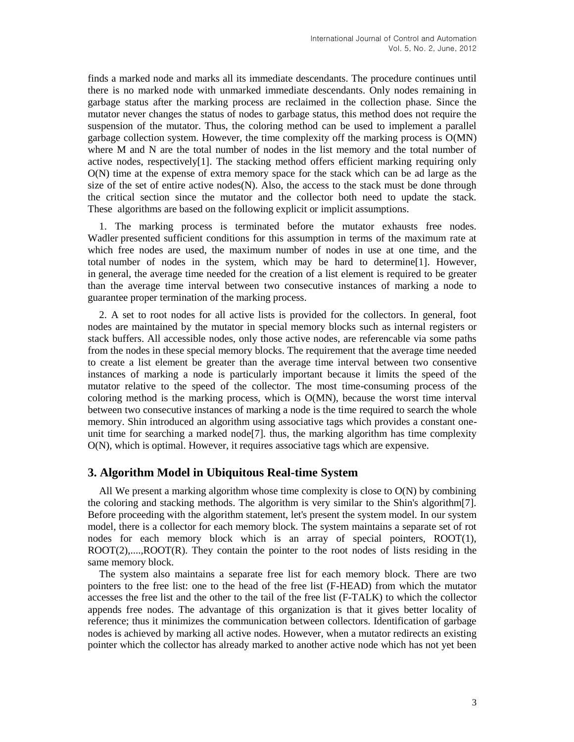finds a marked node and marks all its immediate descendants. The procedure continues until there is no marked node with unmarked immediate descendants. Only nodes remaining in garbage status after the marking process are reclaimed in the collection phase. Since the mutator never changes the status of nodes to garbage status, this method does not require the suspension of the mutator. Thus, the coloring method can be used to implement a parallel garbage collection system. However, the time complexity off the marking process is O(MN) where M and N are the total number of nodes in the list memory and the total number of active nodes, respectively[1]. The stacking method offers efficient marking requiring only O(N) time at the expense of extra memory space for the stack which can be ad large as the size of the set of entire active nodes(N). Also, the access to the stack must be done through the critical section since the mutator and the collector both need to update the stack. These algorithms are based on the following explicit or implicit assumptions.

1. The marking process is terminated before the mutator exhausts free nodes. Wadler presented sufficient conditions for this assumption in terms of the maximum rate at which free nodes are used, the maximum number of nodes in use at one time, and the total number of nodes in the system, which may be hard to determine[1]. However, in general, the average time needed for the creation of a list element is required to be greater than the average time interval between two consecutive instances of marking a node to guarantee proper termination of the marking process.

2. A set to root nodes for all active lists is provided for the collectors. In general, foot nodes are maintained by the mutator in special memory blocks such as internal registers or stack buffers. All accessible nodes, only those active nodes, are referencable via some paths from the nodes in these special memory blocks. The requirement that the average time needed to create a list element be greater than the average time interval between two consentive instances of marking a node is particularly important because it limits the speed of the mutator relative to the speed of the collector. The most time-consuming process of the coloring method is the marking process, which is  $O(MN)$ , because the worst time interval between two consecutive instances of marking a node is the time required to search the whole memory. Shin introduced an algorithm using associative tags which provides a constant oneunit time for searching a marked node[7]. thus, the marking algorithm has time complexity O(N), which is optimal. However, it requires associative tags which are expensive.

### **3. Algorithm Model in Ubiquitous Real-time System**

All We present a marking algorithm whose time complexity is close to  $O(N)$  by combining the coloring and stacking methods. The algorithm is very similar to the Shin's algorithm[7]. Before proceeding with the algorithm statement, let's present the system model. In our system model, there is a collector for each memory block. The system maintains a separate set of rot nodes for each memory block which is an array of special pointers, ROOT(1), ROOT(2),....,ROOT(R). They contain the pointer to the root nodes of lists residing in the same memory block.

The system also maintains a separate free list for each memory block. There are two pointers to the free list: one to the head of the free list (F-HEAD) from which the mutator accesses the free list and the other to the tail of the free list (F-TALK) to which the collector appends free nodes. The advantage of this organization is that it gives better locality of reference; thus it minimizes the communication between collectors. Identification of garbage nodes is achieved by marking all active nodes. However, when a mutator redirects an existing pointer which the collector has already marked to another active node which has not yet been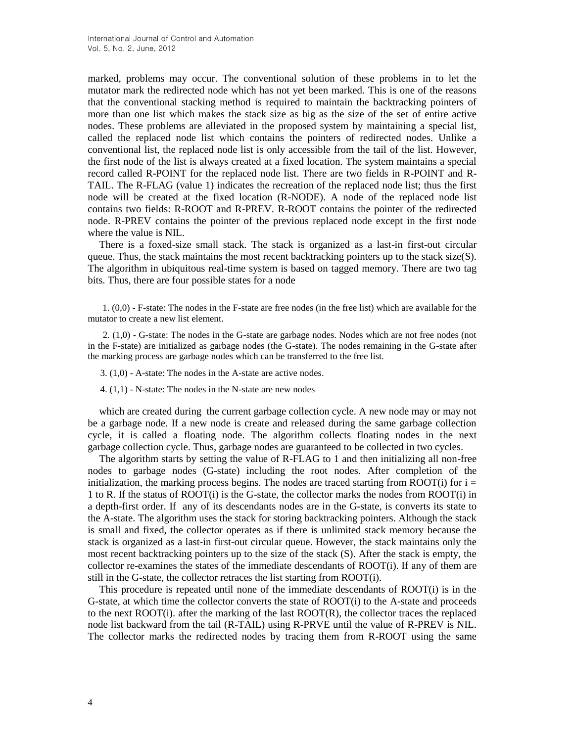marked, problems may occur. The conventional solution of these problems in to let the mutator mark the redirected node which has not yet been marked. This is one of the reasons that the conventional stacking method is required to maintain the backtracking pointers of more than one list which makes the stack size as big as the size of the set of entire active nodes. These problems are alleviated in the proposed system by maintaining a special list, called the replaced node list which contains the pointers of redirected nodes. Unlike a conventional list, the replaced node list is only accessible from the tail of the list. However, the first node of the list is always created at a fixed location. The system maintains a special record called R-POINT for the replaced node list. There are two fields in R-POINT and R-TAIL. The R-FLAG (value 1) indicates the recreation of the replaced node list; thus the first node will be created at the fixed location (R-NODE). A node of the replaced node list contains two fields: R-ROOT and R-PREV. R-ROOT contains the pointer of the redirected node. R-PREV contains the pointer of the previous replaced node except in the first node where the value is NIL.

There is a foxed-size small stack. The stack is organized as a last-in first-out circular queue. Thus, the stack maintains the most recent backtracking pointers up to the stack size $(S)$ . The algorithm in ubiquitous real-time system is based on tagged memory. There are two tag bits. Thus, there are four possible states for a node

1. (0,0) - F-state: The nodes in the F-state are free nodes (in the free list) which are available for the mutator to create a new list element.

2. (1,0) - G-state: The nodes in the G-state are garbage nodes. Nodes which are not free nodes (not in the F-state) are initialized as garbage nodes (the G-state). The nodes remaining in the G-state after the marking process are garbage nodes which can be transferred to the free list.

3. (1,0) - A-state: The nodes in the A-state are active nodes.

4. (1,1) - N-state: The nodes in the N-state are new nodes

which are created during the current garbage collection cycle. A new node may or may not be a garbage node. If a new node is create and released during the same garbage collection cycle, it is called a floating node. The algorithm collects floating nodes in the next garbage collection cycle. Thus, garbage nodes are guaranteed to be collected in two cycles.

The algorithm starts by setting the value of R-FLAG to 1 and then initializing all non-free nodes to garbage nodes (G-state) including the root nodes. After completion of the initialization, the marking process begins. The nodes are traced starting from  $ROOT(i)$  for  $i =$ 1 to R. If the status of ROOT(i) is the G-state, the collector marks the nodes from ROOT(i) in a depth-first order. If any of its descendants nodes are in the G-state, is converts its state to the A-state. The algorithm uses the stack for storing backtracking pointers. Although the stack is small and fixed, the collector operates as if there is unlimited stack memory because the stack is organized as a last-in first-out circular queue. However, the stack maintains only the most recent backtracking pointers up to the size of the stack (S). After the stack is empty, the collector re-examines the states of the immediate descendants of ROOT(i). If any of them are still in the G-state, the collector retraces the list starting from ROOT(i).

This procedure is repeated until none of the immediate descendants of ROOT(i) is in the G-state, at which time the collector converts the state of ROOT(i) to the A-state and proceeds to the next ROOT(i). after the marking of the last ROOT(R), the collector traces the replaced node list backward from the tail (R-TAIL) using R-PRVE until the value of R-PREV is NIL. The collector marks the redirected nodes by tracing them from R-ROOT using the same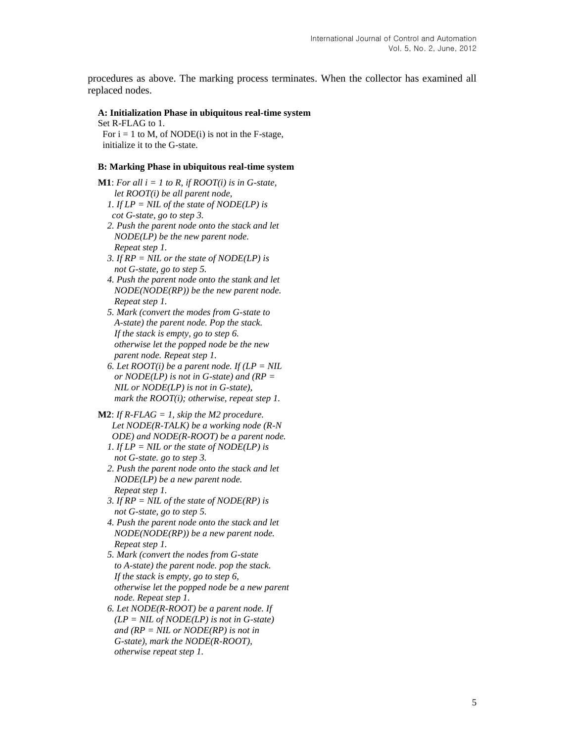procedures as above. The marking process terminates. When the collector has examined all replaced nodes.

#### **A: Initialization Phase in ubiquitous real-time system**

Set R-FLAG to 1. For  $i = 1$  to M, of NODE(i) is not in the F-stage, initialize it to the G-state.

#### **B: Marking Phase in ubiquitous real-time system**

**M1**: *For all i* = 1 to *R*, if  $ROOT(i)$  is in *G*-state, *let ROOT(i) be all parent node, 1. If LP = NIL of the state of NODE(LP) is cot G-state, go to step 3. 2. Push the parent node onto the stack and let NODE(LP) be the new parent node. Repeat step 1. 3. If RP = NIL or the state of NODE(LP) is not G-state, go to step 5. 4. Push the parent node onto the stank and let NODE(NODE(RP)) be the new parent node. Repeat step 1. 5. Mark (convert the modes from G-state to A-state) the parent node. Pop the stack. If the stack is empty, go to step 6. otherwise let the popped node be the new parent node. Repeat step 1.*

- *6. Let ROOT(i) be a parent node. If (LP = NIL or NODE(LP) is not in G-state) and (RP = NIL or NODE(LP) is not in G-state), mark the ROOT(i); otherwise, repeat step 1.*
- **M2**: *If R-FLAG = 1, skip the M2 procedure. Let NODE(R-TALK) be a working node (R-N ODE) and NODE(R-ROOT) be a parent node.*
	- *1. If LP = NIL or the state of NODE(LP) is not G-state. go to step 3.*
	- *2. Push the parent node onto the stack and let NODE(LP) be a new parent node. Repeat step 1.*
	- *3. If RP = NIL of the state of NODE(RP) is not G-state, go to step 5.*

*4. Push the parent node onto the stack and let NODE(NODE(RP)) be a new parent node. Repeat step 1.*

*5. Mark (convert the nodes from G-state to A-state) the parent node. pop the stack. If the stack is empty, go to step 6, otherwise let the popped node be a new parent node. Repeat step 1.*

*6. Let NODE(R-ROOT) be a parent node. If (LP = NIL of NODE(LP) is not in G-state) and (RP = NIL or NODE(RP) is not in G-state), mark the NODE(R-ROOT), otherwise repeat step 1.*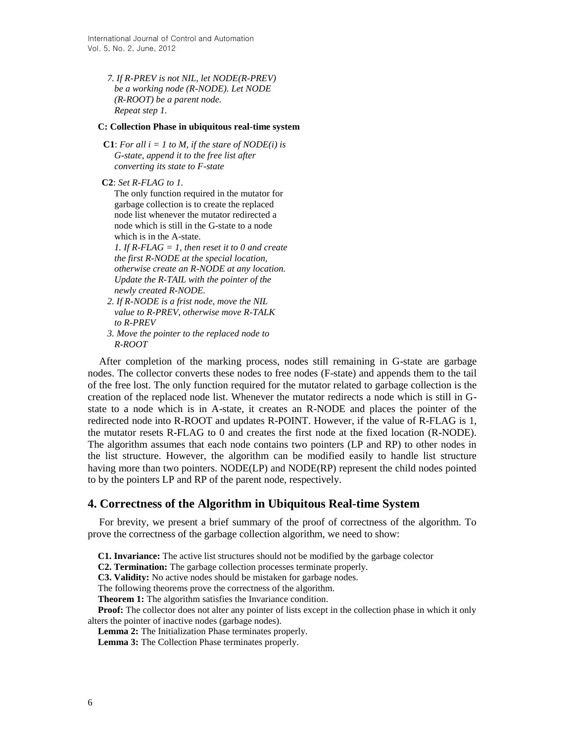International Journal of Control and Automation Vol. 5, No. 2, June, 2012

> *7. If R-PREV is not NIL, let NODE(R-PREV) be a working node (R-NODE). Let NODE (R-ROOT) be a parent node. Repeat step 1.*

#### **C: Collection Phase in ubiquitous real-time system**

- **C1**: *For all i = 1 to M, if the stare of NODE(i) is G-state, append it to the free list after converting its state to F-state*
- **C2**: *Set R-FLAG to 1.*

The only function required in the mutator for garbage collection is to create the replaced node list whenever the mutator redirected a node which is still in the G-state to a node which is in the A-state. *1. If R-FLAG = 1, then reset it to 0 and create*

*the first R-NODE at the special location, otherwise create an R-NODE at any location. Update the R-TAIL with the pointer of the newly created R-NODE.*

- *2. If R-NODE is a frist node, move the NIL value to R-PREV, otherwise move R-TALK to R-PREV*
- *3. Move the pointer to the replaced node to R-ROOT*

After completion of the marking process, nodes still remaining in G-state are garbage nodes. The collector converts these nodes to free nodes (F-state) and appends them to the tail of the free lost. The only function required for the mutator related to garbage collection is the creation of the replaced node list. Whenever the mutator redirects a node which is still in Gstate to a node which is in A-state, it creates an R-NODE and places the pointer of the redirected node into R-ROOT and updates R-POINT. However, if the value of R-FLAG is 1, the mutator resets R-FLAG to 0 and creates the first node at the fixed location (R-NODE). The algorithm assumes that each node contains two pointers (LP and RP) to other nodes in the list structure. However, the algorithm can be modified easily to handle list structure having more than two pointers. NODE(LP) and NODE(RP) represent the child nodes pointed to by the pointers LP and RP of the parent node, respectively.

### **4. Correctness of the Algorithm in Ubiquitous Real-time System**

For brevity, we present a brief summary of the proof of correctness of the algorithm. To prove the correctness of the garbage collection algorithm, we need to show:

**C1. Invariance:** The active list structures should not be modified by the garbage colector

**C2. Termination:** The garbage collection processes terminate properly.

**C3. Validity:** No active nodes should be mistaken for garbage nodes.

The following theorems prove the correctness of the algorithm.

**Theorem 1:** The algorithm satisfies the Invariance condition.

**Proof:** The collector does not alter any pointer of lists except in the collection phase in which it only alters the pointer of inactive nodes (garbage nodes).

**Lemma 2:** The Initialization Phase terminates properly.

**Lemma 3:** The Collection Phase terminates properly.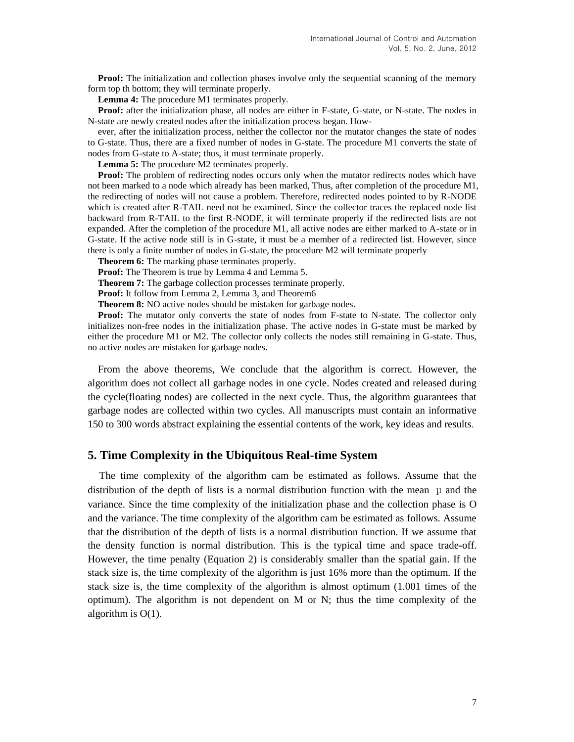**Proof:** The initialization and collection phases involve only the sequential scanning of the memory form top th bottom; they will terminate properly.

**Lemma 4:** The procedure M1 terminates properly.

**Proof:** after the initialization phase, all nodes are either in F-state, G-state, or N-state. The nodes in N-state are newly created nodes after the initialization process began. How-

ever, after the initialization process, neither the collector nor the mutator changes the state of nodes to G-state. Thus, there are a fixed number of nodes in G-state. The procedure M1 converts the state of nodes from G-state to A-state; thus, it must terminate properly.

**Lemma 5:** The procedure M2 terminates properly.

**Proof:** The problem of redirecting nodes occurs only when the mutator redirects nodes which have not been marked to a node which already has been marked, Thus, after completion of the procedure M1, the redirecting of nodes will not cause a problem. Therefore, redirected nodes pointed to by R-NODE which is created after R-TAIL need not be examined. Since the collector traces the replaced node list backward from R-TAIL to the first R-NODE, it will terminate properly if the redirected lists are not expanded. After the completion of the procedure M1, all active nodes are either marked to A-state or in G-state. If the active node still is in G-state, it must be a member of a redirected list. However, since there is only a finite number of nodes in G-state, the procedure M2 will terminate properly

**Theorem 6:** The marking phase terminates properly.

Proof: The Theorem is true by Lemma 4 and Lemma 5.

**Theorem 7:** The garbage collection processes terminate properly.

**Proof:** It follow from Lemma 2, Lemma 3, and Theorem6

**Theorem 8:** NO active nodes should be mistaken for garbage nodes.

**Proof:** The mutator only converts the state of nodes from F-state to N-state. The collector only initializes non-free nodes in the initialization phase. The active nodes in G-state must be marked by either the procedure M1 or M2. The collector only collects the nodes still remaining in G-state. Thus, no active nodes are mistaken for garbage nodes.

From the above theorems, We conclude that the algorithm is correct. However, the algorithm does not collect all garbage nodes in one cycle. Nodes created and released during the cycle(floating nodes) are collected in the next cycle. Thus, the algorithm guarantees that garbage nodes are collected within two cycles. All manuscripts must contain an informative 150 to 300 words abstract explaining the essential contents of the work, key ideas and results.

#### **5. Time Complexity in the Ubiquitous Real-time System**

The time complexity of the algorithm cam be estimated as follows. Assume that the distribution of the depth of lists is a normal distribution function with the mean μ and the variance. Since the time complexity of the initialization phase and the collection phase is O and the variance. The time complexity of the algorithm cam be estimated as follows. Assume that the distribution of the depth of lists is a normal distribution function. If we assume that the density function is normal distribution. This is the typical time and space trade-off. However, the time penalty (Equation 2) is considerably smaller than the spatial gain. If the stack size is, the time complexity of the algorithm is just 16% more than the optimum. If the stack size is, the time complexity of the algorithm is almost optimum (1.001 times of the optimum). The algorithm is not dependent on M or N; thus the time complexity of the algorithm is  $O(1)$ .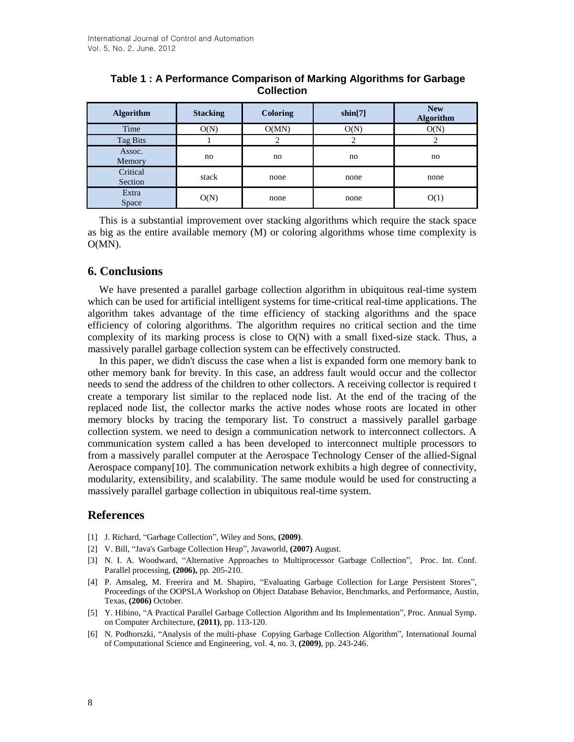| <b>Algorithm</b>    | <b>Stacking</b> | <b>Coloring</b> | shin[7] | <b>New</b><br><b>Algorithm</b> |
|---------------------|-----------------|-----------------|---------|--------------------------------|
| Time                | O(N)            | O(MN)           | O(N)    | O(N)                           |
| Tag Bits            |                 | ∠               |         |                                |
| Assoc.<br>Memory    | no              | no              | no      | no                             |
| Critical<br>Section | stack           | none            | none    | none                           |
| Extra<br>Space      | O(N)            | none            | none    | O(1)                           |

## **Table 1 : A Performance Comparison of Marking Algorithms for Garbage Collection**

This is a substantial improvement over stacking algorithms which require the stack space as big as the entire available memory (M) or coloring algorithms whose time complexity is O(MN).

### **6. Conclusions**

We have presented a parallel garbage collection algorithm in ubiquitous real-time system which can be used for artificial intelligent systems for time-critical real-time applications. The algorithm takes advantage of the time efficiency of stacking algorithms and the space efficiency of coloring algorithms. The algorithm requires no critical section and the time complexity of its marking process is close to  $O(N)$  with a small fixed-size stack. Thus, a massively parallel garbage collection system can be effectively constructed.

In this paper, we didn't discuss the case when a list is expanded form one memory bank to other memory bank for brevity. In this case, an address fault would occur and the collector needs to send the address of the children to other collectors. A receiving collector is required t create a temporary list similar to the replaced node list. At the end of the tracing of the replaced node list, the collector marks the active nodes whose roots are located in other memory blocks by tracing the temporary list. To construct a massively parallel garbage collection system. we need to design a communication network to interconnect collectors. A communication system called a has been developed to interconnect multiple processors to from a massively parallel computer at the Aerospace Technology Censer of the allied-Signal Aerospace company[10]. The communication network exhibits a high degree of connectivity, modularity, extensibility, and scalability. The same module would be used for constructing a massively parallel garbage collection in ubiquitous real-time system.

### **References**

- [1] J. Richard, "Garbage Collection", Wiley and Sons, **(2009)**.
- [2] V. Bill, "Java's Garbage Collection Heap", Javaworld, **(2007)** August.
- [3] N. I. A. Woodward, "Alternative Approaches to Multiprocessor Garbage Collection", Proc. Int. Conf. Parallel processing, **(2006),** pp. 205-210.
- [4] P. Amsaleg, M. Freerira and M. Shapiro, "Evaluating Garbage Collection for Large Persistent Stores", Proceedings of the OOPSLA Workshop on Object Database Behavior, Benchmarks, and Performance, Austin, Texas, **(2006)** October.
- [5] Y. Hibino, "A Practical Parallel Garbage Collection Algorithm and Its Implementation", Proc. Annual Symp. on Computer Architecture, **(2011)**, pp. 113-120.
- [6] N. [Podhorszki,](http://proxy.jbnu.ac.kr/90a6552/_Lib_Proxy_Url/www.riss.kr/search/Search.do?queryText=znCreator,%22Podhorszki+N.%22&searchGubun=true&colName=re_a_over&detailSearch=true) "Analysis of the multi-phase Copying Garbage Collection Algorithm", [International Journal](http://proxy.jbnu.ac.kr/90a6552/_Lib_Proxy_Url/www.riss.kr/link?id=S31015131)  [of Computational Science and Engineering,](http://proxy.jbnu.ac.kr/90a6552/_Lib_Proxy_Url/www.riss.kr/link?id=S31015131) vol. 4, no. 3, **(2009)**, pp. 243-246.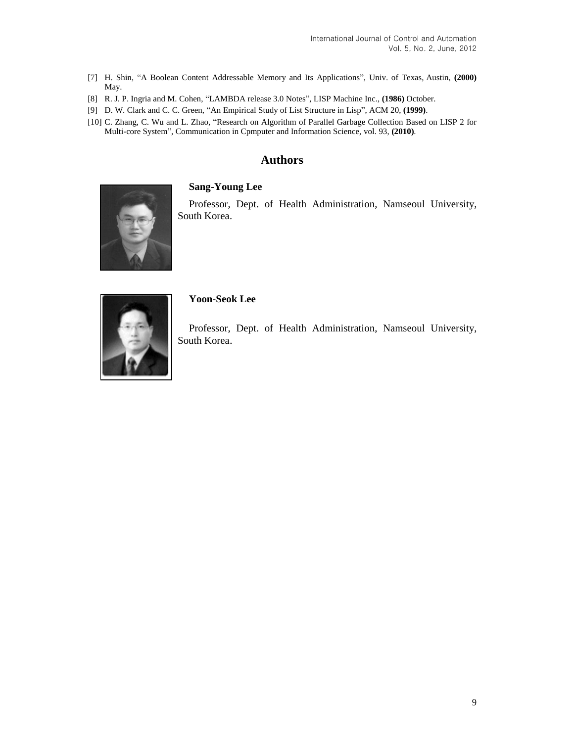- [7] H. Shin, "A Boolean Content Addressable Memory and Its Applications", Univ. of Texas, Austin, **(2000)** May.
- [8] R. J. P. Ingria and M. Cohen, "LAMBDA release 3.0 Notes", LISP Machine Inc., **(1986)** October.
- [9] D. W. Clark and C. C. Green, "An Empirical Study of List Structure in Lisp", ACM 20, **(1999)**.
- [10] C. [Zhang, C](http://proxy.jbnu.ac.kr/90a6552/_Lib_Proxy_Url/www.riss.kr/search/Search.do?queryText=znCreator,%22Zhang+C.%22&searchGubun=true&colName=re_a_over&detailSearch=true). [Wu](http://proxy.jbnu.ac.kr/90a6552/_Lib_Proxy_Url/www.riss.kr/search/Search.do?queryText=znCreator,%22Wu+C.%22&searchGubun=true&colName=re_a_over&detailSearch=true) and L. [Zhao,](http://proxy.jbnu.ac.kr/90a6552/_Lib_Proxy_Url/www.riss.kr/search/Search.do?queryText=znCreator,%22Zhao+L.%22&searchGubun=true&colName=re_a_over&detailSearch=true) "Research on Algorithm of Parallel Garbage Collection Based on LISP 2 for Multi-core System"[, Communication in Cpmputer and Information Science, v](http://proxy.jbnu.ac.kr/90a6552/_Lib_Proxy_Url/www.riss.kr/link?id=S31023212)ol. 93, **(2010)**.

# **Authors**



# **Sang-Young Lee**

Professor, Dept. of Health Administration, Namseoul University, South Korea.



#### **Yoon-Seok Lee**

Professor, Dept. of Health Administration, Namseoul University, South Korea.